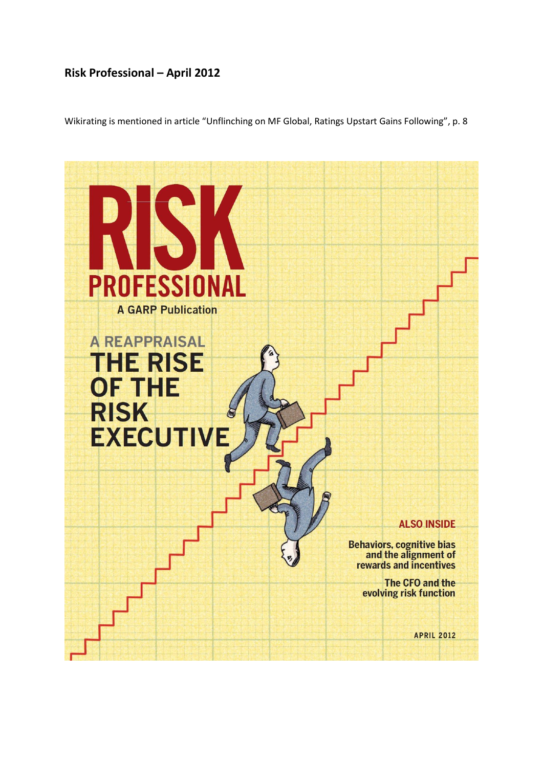# **Risk Professional – April 2012**

Wikirating is mentioned in article "Unflinching on MF Global, Ratings Upstart Gains Following", p. 8

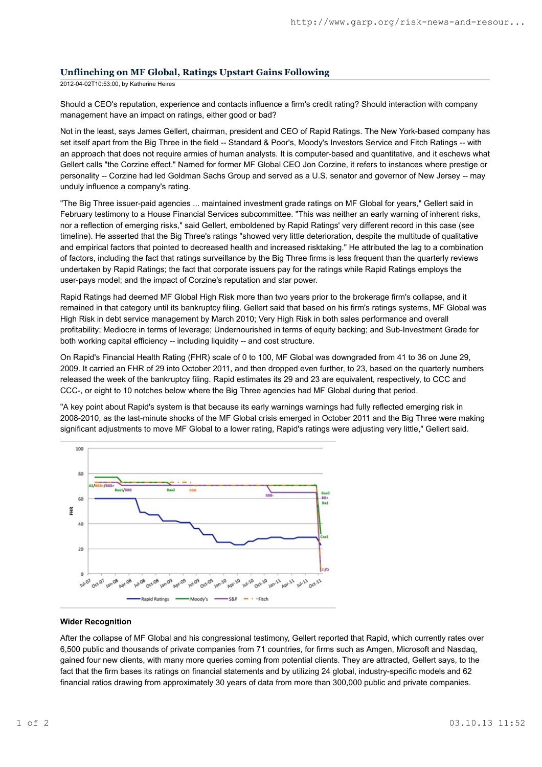# **Unflinching on MF Global, Ratings Upstart Gains Following**

2012-04-02T10:53:00, by Katherine Heires

Should a CEO's reputation, experience and contacts influence a firm's credit rating? Should interaction with company management have an impact on ratings, either good or bad?

Not in the least, says James Gellert, chairman, president and CEO of Rapid Ratings. The New York-based company has set itself apart from the Big Three in the field -- Standard & Poor's, Moody's Investors Service and Fitch Ratings -- with an approach that does not require armies of human analysts. It is computer-based and quantitative, and it eschews what Gellert calls "the Corzine effect." Named for former MF Global CEO Jon Corzine, it refers to instances where prestige or personality -- Corzine had led Goldman Sachs Group and served as a U.S. senator and governor of New Jersey -- may unduly influence a company's rating.

"The Big Three issuer-paid agencies ... maintained investment grade ratings on MF Global for years," Gellert said in February testimony to a House Financial Services subcommittee. "This was neither an early warning of inherent risks, nor a reflection of emerging risks," said Gellert, emboldened by Rapid Ratings' very different record in this case (see timeline). He asserted that the Big Three's ratings "showed very little deterioration, despite the multitude of qualitative and empirical factors that pointed to decreased health and increased risktaking." He attributed the lag to a combination of factors, including the fact that ratings surveillance by the Big Three firms is less frequent than the quarterly reviews undertaken by Rapid Ratings; the fact that corporate issuers pay for the ratings while Rapid Ratings employs the user-pays model; and the impact of Corzine's reputation and star power.

Rapid Ratings had deemed MF Global High Risk more than two years prior to the brokerage firm's collapse, and it remained in that category until its bankruptcy filing. Gellert said that based on his firm's ratings systems, MF Global was High Risk in debt service management by March 2010; Very High Risk in both sales performance and overall profitability; Mediocre in terms of leverage; Undernourished in terms of equity backing; and Sub-Investment Grade for both working capital efficiency -- including liquidity -- and cost structure.

On Rapid's Financial Health Rating (FHR) scale of 0 to 100, MF Global was downgraded from 41 to 36 on June 29, 2009. It carried an FHR of 29 into October 2011, and then dropped even further, to 23, based on the quarterly numbers released the week of the bankruptcy filing. Rapid estimates its 29 and 23 are equivalent, respectively, to CCC and CCC-, or eight to 10 notches below where the Big Three agencies had MF Global during that period.

"A key point about Rapid's system is that because its early warnings warnings had fully reflected emerging risk in 2008-2010, as the last-minute shocks of the MF Global crisis emerged in October 2011 and the Big Three were making significant adjustments to move MF Global to a lower rating, Rapid's ratings were adjusting very little," Gellert said.



#### **Wider Recognition**

After the collapse of MF Global and his congressional testimony, Gellert reported that Rapid, which currently rates over 6,500 public and thousands of private companies from 71 countries, for firms such as Amgen, Microsoft and Nasdaq, gained four new clients, with many more queries coming from potential clients. They are attracted, Gellert says, to the fact that the firm bases its ratings on financial statements and by utilizing 24 global, industry-specific models and 62 financial ratios drawing from approximately 30 years of data from more than 300,000 public and private companies.